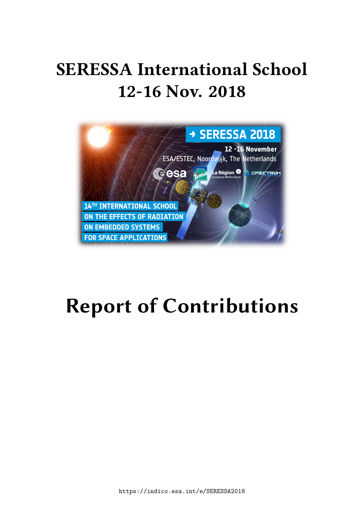# **SERESSA International School 12-16 Nov. 2018**



# **Report of Contributions**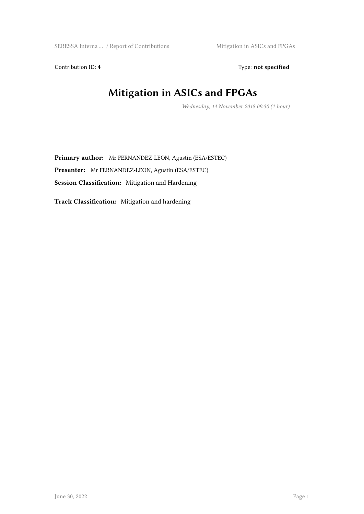Contribution ID: 4 Type: **not specified** 

# **Mitigation in ASICs and FPGAs**

*Wednesday, 14 November 2018 09:30 (1 hour)*

**Primary author:** Mr FERNANDEZ-LEON, Agustin (ESA/ESTEC) **Presenter:** Mr FERNANDEZ-LEON, Agustin (ESA/ESTEC) **Session Classification:** Mitigation and Hardening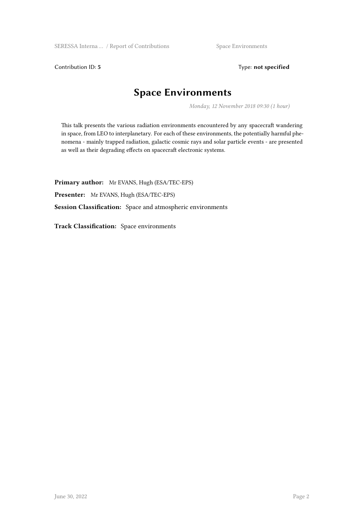Contribution ID: 5 Type: **not specified** 

#### **Space Environments**

*Monday, 12 November 2018 09:30 (1 hour)*

This talk presents the various radiation environments encountered by any spacecraft wandering in space, from LEO to interplanetary. For each of these environments, the potentially harmful phenomena - mainly trapped radiation, galactic cosmic rays and solar particle events - are presented as well as their degrading effects on spacecraft electronic systems.

**Primary author:** Mr EVANS, Hugh (ESA/TEC-EPS)

**Presenter:** Mr EVANS, Hugh (ESA/TEC-EPS)

**Session Classification:** Space and atmospheric environments

**Track Classification:** Space environments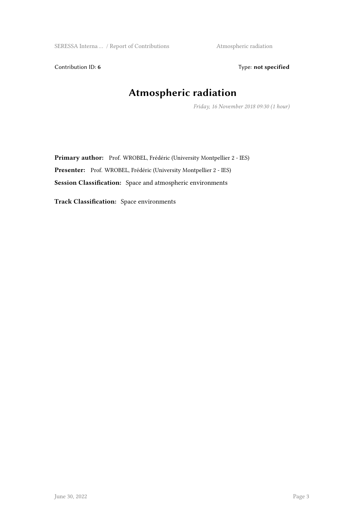Contribution ID: 6 Type: not specified

### **Atmospheric radiation**

*Friday, 16 November 2018 09:30 (1 hour)*

Primary author: Prof. WROBEL, Frédéric (University Montpellier 2 - IES) **Presenter:** Prof. WROBEL, Frédéric (University Montpellier 2 - IES) **Session Classification:** Space and atmospheric environments

**Track Classification:** Space environments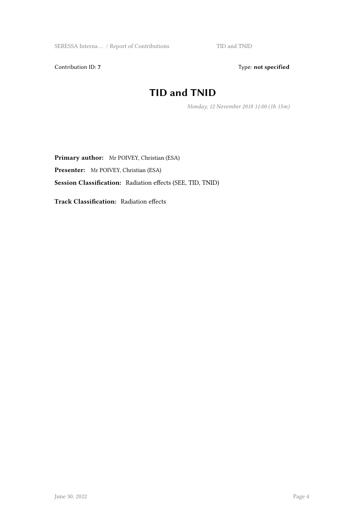Contribution ID: 7 Type: **not specified** 

#### **TID and TNID**

*Monday, 12 November 2018 11:00 (1h 15m)*

**Primary author:** Mr POIVEY, Christian (ESA) **Presenter:** Mr POIVEY, Christian (ESA) **Session Classification:** Radiation effects (SEE, TID, TNID)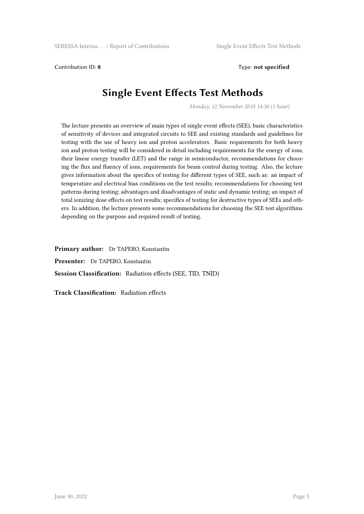Contribution ID: **8** Type: **not specified**

#### **Single Event Effects Test Methods**

*Monday, 12 November 2018 14:30 (1 hour)*

The lecture presents an overview of main types of single event effects (SEE), basic characteristics of sensitivity of devices and integrated circuits to SEE and existing standards and guidelines for testing with the use of heavy ion and proton accelerators. Basic requirements for both heavy ion and proton testing will be considered in detail including requirements for the energy of ions, their linear energy transfer (LET) and the range in semiconductor, recommendations for choosing the flux and fluency of ions, requirements for beam control during testing. Also, the lecture gives information about the specifics of testing for different types of SEE, such as: an impact of temperature and electrical bias conditions on the test results; recommendations for choosing test patterns during testing; advantages and disadvantages of static and dynamic testing; an impact of total ionizing dose effects on test results; specifics of testing for destructive types of SEEs and others. In addition, the lecture presents some recommendations for choosing the SEE test algorithms depending on the purpose and required result of testing.

**Primary author:** Dr TAPERO, Konstantin **Presenter:** Dr TAPERO, Konstantin **Session Classification:** Radiation effects (SEE, TID, TNID)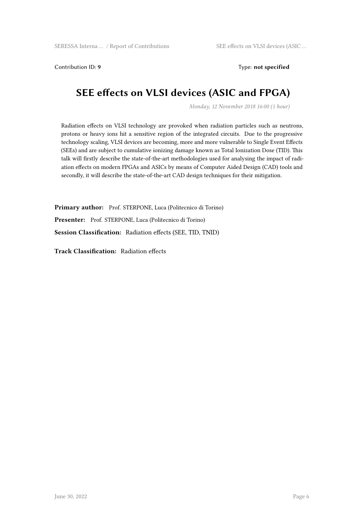Contribution ID: 9 Type: **not specified** 

#### **SEE effects on VLSI devices (ASIC and FPGA)**

*Monday, 12 November 2018 16:00 (1 hour)*

Radiation effects on VLSI technology are provoked when radiation particles such as neutrons, protons or heavy ions hit a sensitive region of the integrated circuits. Due to the progressive technology scaling, VLSI devices are becoming, more and more vulnerable to Single Event Effects (SEEs) and are subject to cumulative ionizing damage known as Total Ionization Dose (TID). This talk will firstly describe the state-of-the-art methodologies used for analysing the impact of radiation effects on modern FPGAs and ASICs by means of Computer Aided Design (CAD) tools and secondly, it will describe the state-of-the-art CAD design techniques for their mitigation.

**Primary author:** Prof. STERPONE, Luca (Politecnico di Torino) **Presenter:** Prof. STERPONE, Luca (Politecnico di Torino) **Session Classification:** Radiation effects (SEE, TID, TNID)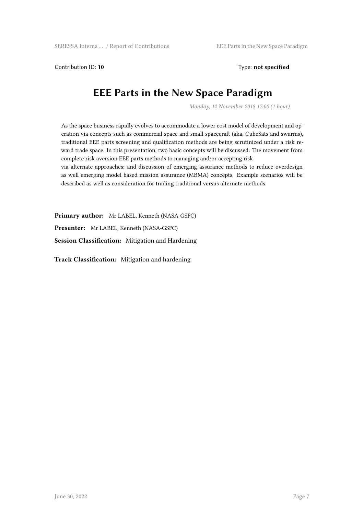Contribution ID: 10 **Type:** not specified

#### **EEE Parts in the New Space Paradigm**

*Monday, 12 November 2018 17:00 (1 hour)*

As the space business rapidly evolves to accommodate a lower cost model of development and operation via concepts such as commercial space and small spacecraft (aka, CubeSats and swarms), traditional EEE parts screening and qualification methods are being scrutinized under a risk reward trade space. In this presentation, two basic concepts will be discussed: The movement from complete risk aversion EEE parts methods to managing and/or accepting risk

via alternate approaches; and discussion of emerging assurance methods to reduce overdesign as well emerging model based mission assurance (MBMA) concepts. Example scenarios will be described as well as consideration for trading traditional versus alternate methods.

**Primary author:** Mr LABEL, Kenneth (NASA-GSFC)

**Presenter:** Mr LABEL, Kenneth (NASA-GSFC)

**Session Classification:** Mitigation and Hardening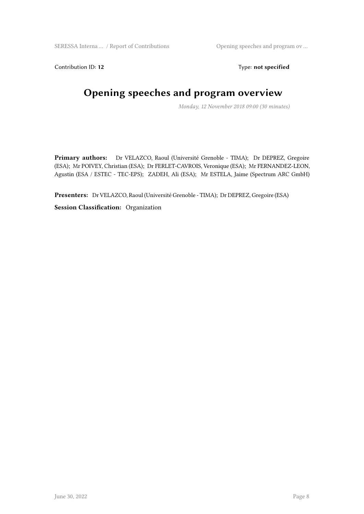Contribution ID: 12 Type: **not specified** 

# **Opening speeches and program overview**

*Monday, 12 November 2018 09:00 (30 minutes)*

**Primary authors:** Dr VELAZCO, Raoul (Université Grenoble - TIMA); Dr DEPREZ, Gregoire (ESA); Mr POIVEY, Christian (ESA); Dr FERLET-CAVROIS, Veronique (ESA); Mr FERNANDEZ-LEON, Agustin (ESA / ESTEC - TEC-EPS); ZADEH, Ali (ESA); Mr ESTELA, Jaime (Spectrum ARC GmbH)

**Presenters:** Dr VELAZCO, Raoul (Université Grenoble - TIMA); Dr DEPREZ, Gregoire (ESA)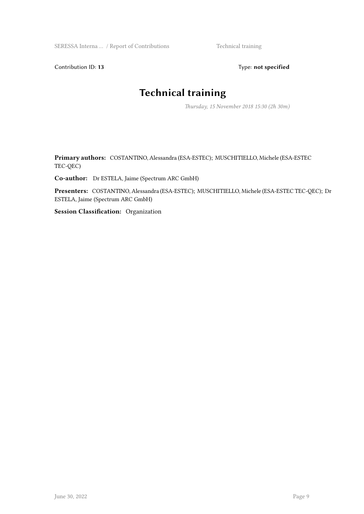SERESSA Interna ... / Report of Contributions Technical training

Contribution ID: 13 Type: **not specified** 

#### **Technical training**

*Thursday, 15 November 2018 15:30 (2h 30m)*

**Primary authors:** COSTANTINO, Alessandra (ESA-ESTEC); MUSCHITIELLO, Michele (ESA-ESTEC TEC-QEC)

**Co-author:** Dr ESTELA, Jaime (Spectrum ARC GmbH)

**Presenters:** COSTANTINO, Alessandra (ESA-ESTEC); MUSCHITIELLO, Michele (ESA-ESTEC TEC-QEC); Dr ESTELA, Jaime (Spectrum ARC GmbH)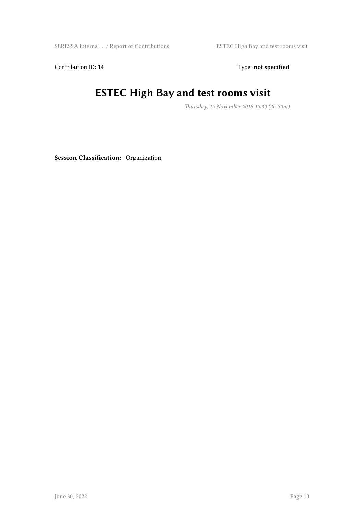Contribution ID: 14 Type: **not specified** 

### **ESTEC High Bay and test rooms visit**

*Thursday, 15 November 2018 15:30 (2h 30m)*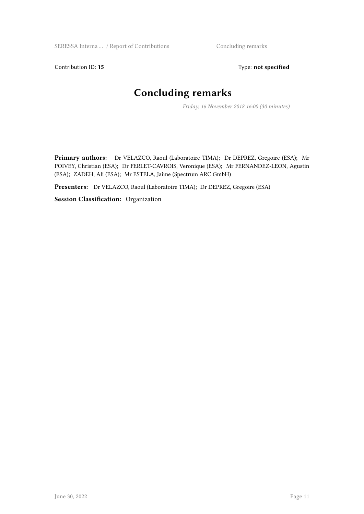Contribution ID: 15 Type: **not specified** 

## **Concluding remarks**

*Friday, 16 November 2018 16:00 (30 minutes)*

**Primary authors:** Dr VELAZCO, Raoul (Laboratoire TIMA); Dr DEPREZ, Gregoire (ESA); Mr POIVEY, Christian (ESA); Dr FERLET-CAVROIS, Veronique (ESA); Mr FERNANDEZ-LEON, Agustin (ESA); ZADEH, Ali (ESA); Mr ESTELA, Jaime (Spectrum ARC GmbH)

**Presenters:** Dr VELAZCO, Raoul (Laboratoire TIMA); Dr DEPREZ, Gregoire (ESA)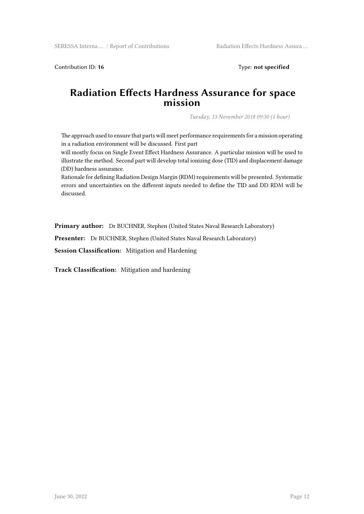Contribution ID: 16 Type: **not specified** 

#### **Radiation Effects Hardness Assurance for space mission**

*Tuesday, 13 November 2018 09:30 (1 hour)*

The approach used to ensure that parts will meet performance requirements for a mission operating in a radiation environment will be discussed. First part

will mostly focus on Single Event Effect Hardness Assurance. A particular mission will be used to illustrate the method. Second part will develop total ionizing dose (TID) and displacement damage (DD) hardness assurance.

Rationale for defining Radiation Design Margin (RDM) requirements will be presented. Systematic errors and uncertainties on the different inputs needed to define the TID and DD RDM will be discussed.

**Primary author:** Dr BUCHNER, Stephen (United States Naval Research Laboratory)

Presenter: Dr BUCHNER, Stephen (United States Naval Research Laboratory)

**Session Classification:** Mitigation and Hardening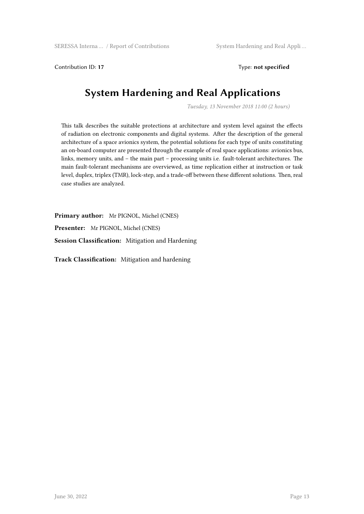Contribution ID: **17** Type: **not specified**

#### **System Hardening and Real Applications**

*Tuesday, 13 November 2018 11:00 (2 hours)*

This talk describes the suitable protections at architecture and system level against the effects of radiation on electronic components and digital systems. After the description of the general architecture of a space avionics system, the potential solutions for each type of units constituting an on-board computer are presented through the example of real space applications: avionics bus, links, memory units, and – the main part – processing units i.e. fault-tolerant architectures. The main fault-tolerant mechanisms are overviewed, as time replication either at instruction or task level, duplex, triplex (TMR), lock-step, and a trade-off between these different solutions. Then, real case studies are analyzed.

**Primary author:** Mr PIGNOL, Michel (CNES) **Presenter:** Mr PIGNOL, Michel (CNES) **Session Classification:** Mitigation and Hardening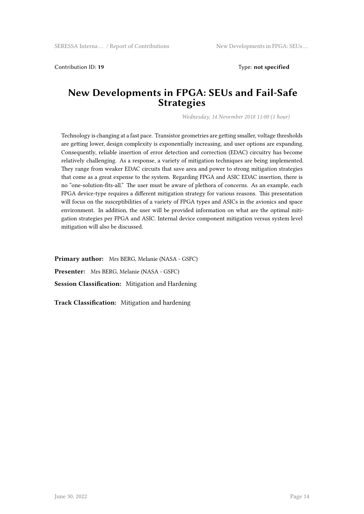Contribution ID: **19** Type: **not specified**

#### **New Developments in FPGA: SEUs and Fail-Safe Strategies**

*Wednesday, 14 November 2018 11:00 (1 hour)*

Technology is changing at a fast pace. Transistor geometries are getting smaller, voltage thresholds are getting lower, design complexity is exponentially increasing, and user options are expanding. Consequently, reliable insertion of error detection and correction (EDAC) circuitry has become relatively challenging. As a response, a variety of mitigation techniques are being implemented. They range from weaker EDAC circuits that save area and power to strong mitigation strategies that come as a great expense to the system. Regarding FPGA and ASIC EDAC insertion, there is no "one-solution-fits-all." The user must be aware of plethora of concerns. As an example, each FPGA device-type requires a different mitigation strategy for various reasons. This presentation will focus on the susceptibilities of a variety of FPGA types and ASICs in the avionics and space environment. In addition, the user will be provided information on what are the optimal mitigation strategies per FPGA and ASIC. Internal device component mitigation versus system level mitigation will also be discussed.

**Primary author:** Mrs BERG, Melanie (NASA - GSFC) **Presenter:** Mrs BERG, Melanie (NASA - GSFC) **Session Classification:** Mitigation and Hardening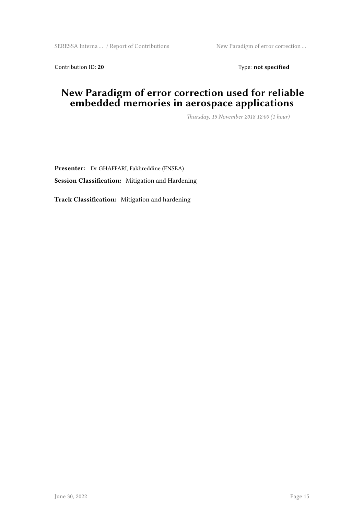Contribution ID: 20 Type: **not specified** 

#### **New Paradigm of error correction used for reliable embedded memories in aerospace applications**

*Thursday, 15 November 2018 12:00 (1 hour)*

**Presenter:** Dr GHAFFARI, Fakhreddine (ENSEA) **Session Classification:** Mitigation and Hardening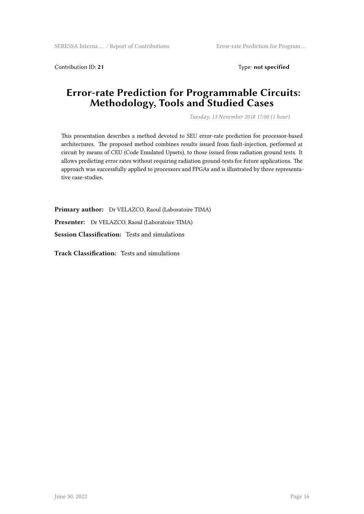Contribution ID: 21 Type: **not specified** 

#### **Error-rate Prediction for Programmable Circuits: Methodology, Tools and Studied Cases**

*Tuesday, 13 November 2018 17:00 (1 hour)*

This presentation describes a method devoted to SEU error-rate prediction for processor-based architectures. The proposed method combines results issued from fault-injection, performed at circuit by means of CEU (Code Emulated Upsets), to those issued from radiation ground tests. It allows predicting error rates without requiring radiation ground-tests for future applications. The approach was successfully applied to processors and FPGAs and is illustrated by three representative case-studies.

**Primary author:** Dr VELAZCO, Raoul (Laboratoire TIMA) **Presenter:** Dr VELAZCO, Raoul (Laboratoire TIMA) **Session Classification:** Tests and simulations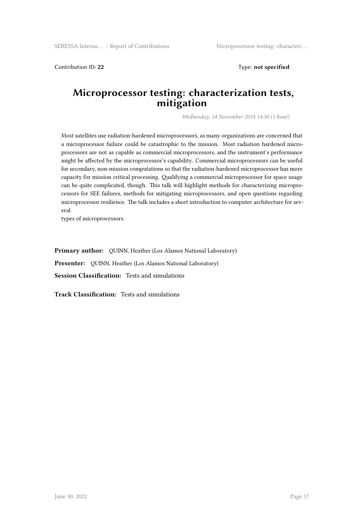Contribution ID: **22** Type: **not specified**

#### **Microprocessor testing: characterization tests, mitigation**

*Wednesday, 14 November 2018 14:30 (1 hour)*

Most satellites use radiation-hardened microprocessors, as many organizations are concerned that a microprocessor failure could be catastrophic to the mission. Most radiation hardened microprocessors are not as capable as commercial microprocessors, and the instrument's performance might be affected by the microprocessor's capability. Commercial microprocessors can be useful for secondary, non-mission computations so that the radiation-hardened microprocessor has more capacity for mission critical processing. Qualifying a commercial microprocessor for space usage can be quite complicated, though. This talk will highlight methods for characterizing microprocessors for SEE failures, methods for mitigating microprocessors, and open questions regarding microprocessor resilience. The talk includes a short introduction to computer architecture for several

types of microprocessors.

**Primary author:** QUINN, Heather (Los Alamos National Laboratory) **Presenter:** QUINN, Heather (Los Alamos National Laboratory) **Session Classification:** Tests and simulations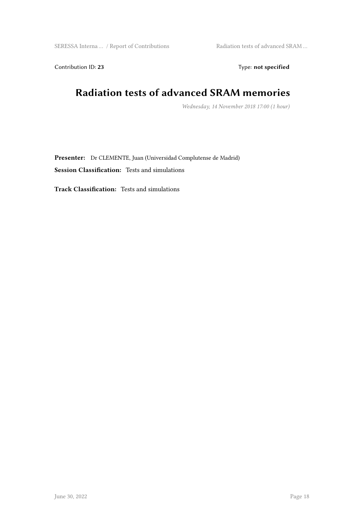Contribution ID: 23 Type: **not specified** 

## **Radiation tests of advanced SRAM memories**

*Wednesday, 14 November 2018 17:00 (1 hour)*

**Presenter:** Dr CLEMENTE, Juan (Universidad Complutense de Madrid) **Session Classification:** Tests and simulations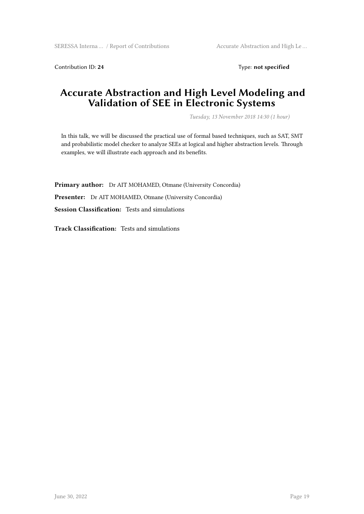Contribution ID: 24 Type: **not specified** 

#### **Accurate Abstraction and High Level Modeling and Validation of SEE in Electronic Systems**

*Tuesday, 13 November 2018 14:30 (1 hour)*

In this talk, we will be discussed the practical use of formal based techniques, such as SAT, SMT and probabilistic model checker to analyze SEEs at logical and higher abstraction levels. Through examples, we will illustrate each approach and its benefits.

**Primary author:** Dr AIT MOHAMED, Otmane (University Concordia) **Presenter:** Dr AIT MOHAMED, Otmane (University Concordia) **Session Classification:** Tests and simulations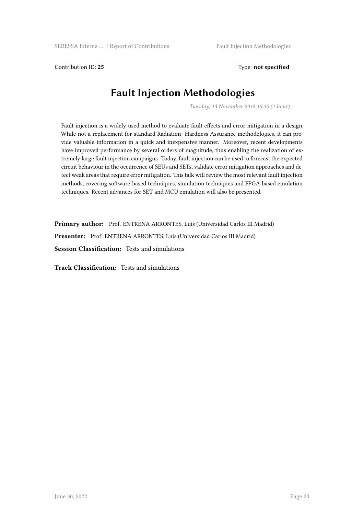Contribution ID: **25** Type: **not specified**

#### **Fault Injection Methodologies**

*Tuesday, 13 November 2018 15:30 (1 hour)*

Fault injection is a widely used method to evaluate fault effects and error mitigation in a design. While not a replacement for standard Radiation- Hardness Assurance methodologies, it can provide valuable information in a quick and inexpensive manner. Moreover, recent developments have improved performance by several orders of magnitude, thus enabling the realization of extremely large fault injection campaigns. Today, fault injection can be used to forecast the expected circuit behaviour in the occurrence of SEUs and SETs, validate error mitigation approaches and detect weak areas that require error mitigation. This talk will review the most relevant fault injection methods, covering software-based techniques, simulation techniques and FPGA-based emulation techniques. Recent advances for SET and MCU emulation will also be presented.

**Primary author:** Prof. ENTRENA ARRONTES, Luis (Universidad Carlos III Madrid) **Presenter:** Prof. ENTRENA ARRONTES, Luis (Universidad Carlos III Madrid) **Session Classification:** Tests and simulations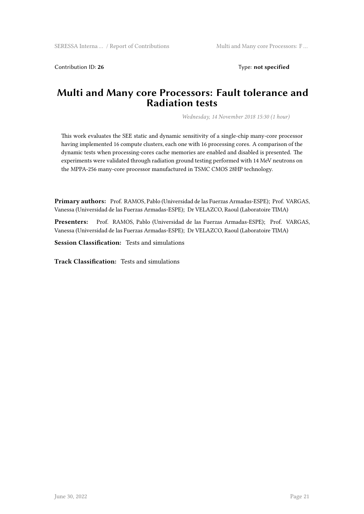Contribution ID: **26** Type: **not specified**

#### **Multi and Many core Processors: Fault tolerance and Radiation tests**

*Wednesday, 14 November 2018 15:30 (1 hour)*

This work evaluates the SEE static and dynamic sensitivity of a single-chip many-core processor having implemented 16 compute clusters, each one with 16 processing cores. A comparison of the dynamic tests when processing-cores cache memories are enabled and disabled is presented. The experiments were validated through radiation ground testing performed with 14 MeV neutrons on the MPPA-256 many-core processor manufactured in TSMC CMOS 28HP technology.

**Primary authors:** Prof. RAMOS, Pablo (Universidad de las Fuerzas Armadas-ESPE); Prof. VARGAS, Vanessa (Universidad de las Fuerzas Armadas-ESPE); Dr VELAZCO, Raoul (Laboratoire TIMA)

**Presenters:** Prof. RAMOS, Pablo (Universidad de las Fuerzas Armadas-ESPE); Prof. VARGAS, Vanessa (Universidad de las Fuerzas Armadas-ESPE); Dr VELAZCO, Raoul (Laboratoire TIMA)

**Session Classification:** Tests and simulations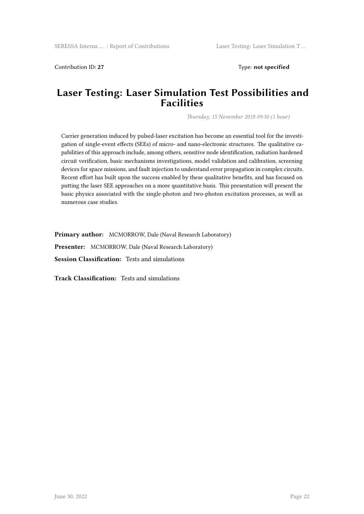Contribution ID: **27** Type: **not specified**

#### **Laser Testing: Laser Simulation Test Possibilities and Facilities**

*Thursday, 15 November 2018 09:30 (1 hour)*

Carrier generation induced by pulsed-laser excitation has become an essential tool for the investigation of single-event effects (SEEs) of micro- and nano-electronic structures. The qualitative capabilities of this approach include, among others, sensitive node identification, radiation hardened circuit verification, basic mechanisms investigations, model validation and calibration, screening devices for space missions, and fault injection to understand error propagation in complex circuits. Recent effort has built upon the success enabled by these qualitative benefits, and has focused on putting the laser SEE approaches on a more quantitative basis. This presentation will present the basic physics associated with the single-photon and two-photon excitation processes, as well as numerous case studies.

**Primary author:** MCMORROW, Dale (Naval Research Laboratory) **Presenter:** MCMORROW, Dale (Naval Research Laboratory) **Session Classification:** Tests and simulations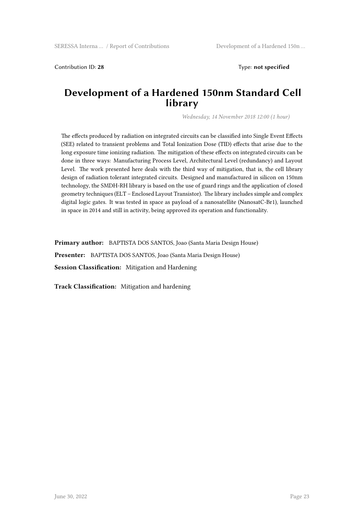Contribution ID: **28** Type: **not specified**

#### **Development of a Hardened 150nm Standard Cell library**

*Wednesday, 14 November 2018 12:00 (1 hour)*

The effects produced by radiation on integrated circuits can be classified into Single Event Effects (SEE) related to transient problems and Total Ionization Dose (TID) effects that arise due to the long exposure time ionizing radiation. The mitigation of these effects on integrated circuits can be done in three ways: Manufacturing Process Level, Architectural Level (redundancy) and Layout Level. The work presented here deals with the third way of mitigation, that is, the cell library design of radiation tolerant integrated circuits. Designed and manufactured in silicon on 150nm technology, the SMDH-RH library is based on the use of guard rings and the application of closed geometry techniques (ELT – Enclosed Layout Transistor). The library includes simple and complex digital logic gates. It was tested in space as payload of a nanosatellite (NanosatC-Br1), launched in space in 2014 and still in activity, being approved its operation and functionality.

**Primary author:** BAPTISTA DOS SANTOS, Joao (Santa Maria Design House) **Presenter:** BAPTISTA DOS SANTOS, Joao (Santa Maria Design House) **Session Classification:** Mitigation and Hardening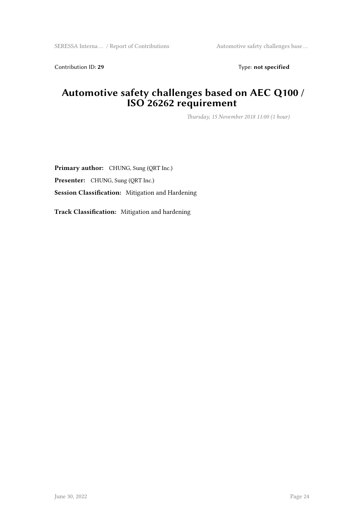Contribution ID: 29 Type: **not specified** 

#### **Automotive safety challenges based on AEC Q100 / ISO 26262 requirement**

*Thursday, 15 November 2018 11:00 (1 hour)*

**Primary author:** CHUNG, Sung (QRT Inc.) **Presenter:** CHUNG, Sung (QRT Inc.) **Session Classification:** Mitigation and Hardening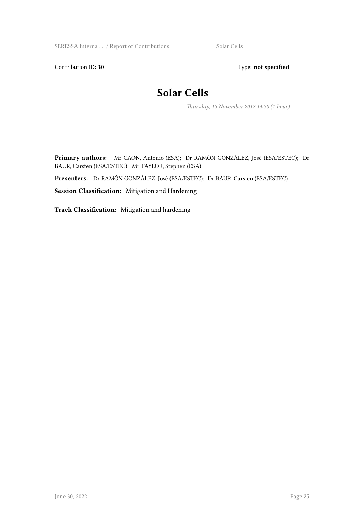SERESSA Interna ... / Report of Contributions Solar Cells

Contribution ID: 30 Type: **not specified** 

#### **Solar Cells**

*Thursday, 15 November 2018 14:30 (1 hour)*

**Primary authors:** Mr CAON, Antonio (ESA); Dr RAMÓN GONZÁLEZ, José (ESA/ESTEC); Dr BAUR, Carsten (ESA/ESTEC); Mr TAYLOR, Stephen (ESA)

**Presenters:** Dr RAMÓN GONZÁLEZ, José (ESA/ESTEC); Dr BAUR, Carsten (ESA/ESTEC)

**Session Classification:** Mitigation and Hardening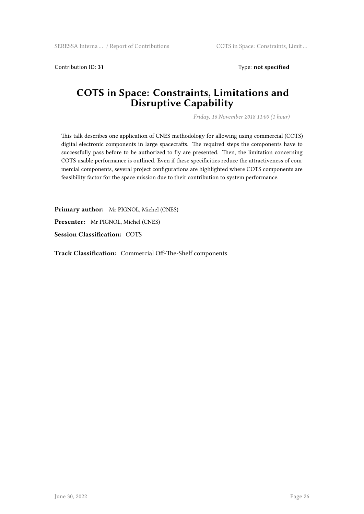Contribution ID: 31 Type: **not specified** 

#### **COTS in Space: Constraints, Limitations and Disruptive Capability**

*Friday, 16 November 2018 11:00 (1 hour)*

This talk describes one application of CNES methodology for allowing using commercial (COTS) digital electronic components in large spacecrafts. The required steps the components have to successfully pass before to be authorized to fly are presented. Then, the limitation concerning COTS usable performance is outlined. Even if these specificities reduce the attractiveness of commercial components, several project configurations are highlighted where COTS components are feasibility factor for the space mission due to their contribution to system performance.

**Primary author:** Mr PIGNOL, Michel (CNES) **Presenter:** Mr PIGNOL, Michel (CNES) **Session Classification:** COTS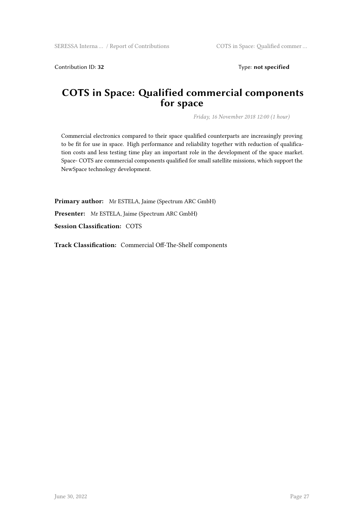Contribution ID: 32 Type: **not specified** 

#### **COTS in Space: Qualified commercial components for space**

*Friday, 16 November 2018 12:00 (1 hour)*

Commercial electronics compared to their space qualified counterparts are increasingly proving to be fit for use in space. High performance and reliability together with reduction of qualification costs and less testing time play an important role in the development of the space market. Space- COTS are commercial components qualified for small satellite missions, which support the NewSpace technology development.

**Primary author:** Mr ESTELA, Jaime (Spectrum ARC GmbH)

**Presenter:** Mr ESTELA, Jaime (Spectrum ARC GmbH)

**Session Classification:** COTS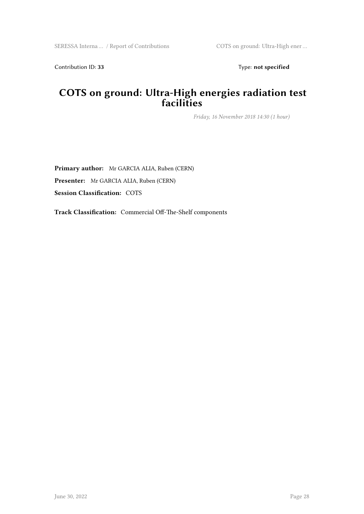Contribution ID: 33 Type: **not specified** 

#### **COTS on ground: Ultra-High energies radiation test facilities**

*Friday, 16 November 2018 14:30 (1 hour)*

**Primary author:** Mr GARCIA ALIA, Ruben (CERN) **Presenter:** Mr GARCIA ALIA, Ruben (CERN) **Session Classification:** COTS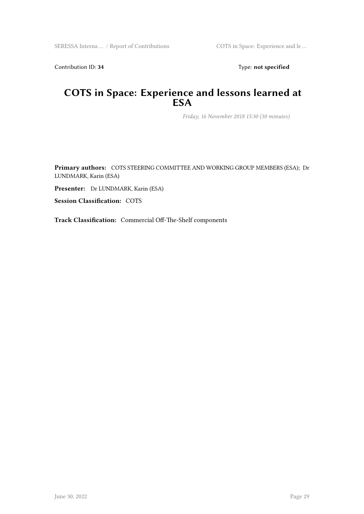Contribution ID: 34 Type: **not specified** 

#### **COTS in Space: Experience and lessons learned at ESA**

*Friday, 16 November 2018 15:30 (30 minutes)*

**Primary authors:** COTS STEERING COMMITTEE AND WORKING GROUP MEMBERS (ESA); Dr LUNDMARK, Karin (ESA)

**Presenter:** Dr LUNDMARK, Karin (ESA)

**Session Classification:** COTS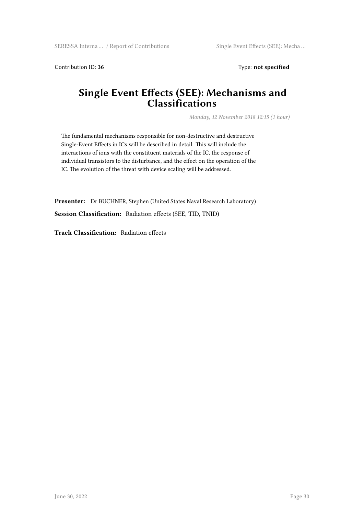Contribution ID: 36 Type: **not specified** 

#### **Single Event Effects (SEE): Mechanisms and Classifications**

*Monday, 12 November 2018 12:15 (1 hour)*

The fundamental mechanisms responsible for non-destructive and destructive Single-Event Effects in ICs will be described in detail. This will include the interactions of ions with the constituent materials of the IC, the response of individual transistors to the disturbance, and the effect on the operation of the IC. The evolution of the threat with device scaling will be addressed.

**Presenter:** Dr BUCHNER, Stephen (United States Naval Research Laboratory) **Session Classification:** Radiation effects (SEE, TID, TNID)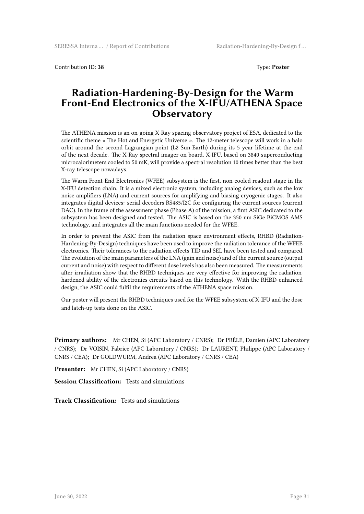Contribution ID: **38** Type: **Poster**

#### **Radiation-Hardening-By-Design for the Warm Front-End Electronics of the X-IFU/ATHENA Space Observatory**

The ATHENA mission is an on-going X-Ray spacing observatory project of ESA, dedicated to the scientific theme « The Hot and Energetic Universe ». The 12-meter telescope will work in a halo orbit around the second Lagrangian point (L2 Sun-Earth) during its 5 year lifetime at the end of the next decade. The X-Ray spectral imager on board, X-IFU, based on 3840 superconducting microcalorimeters cooled to 50 mK, will provide a spectral resolution 10 times better than the best X-ray telescope nowadays.

The Warm Front-End Electronics (WFEE) subsystem is the first, non-cooled readout stage in the X-IFU detection chain. It is a mixed electronic system, including analog devices, such as the low noise amplifiers (LNA) and current sources for amplifying and biasing cryogenic stages. It also integrates digital devices: serial decoders RS485/I2C for configuring the current sources (current DAC). In the frame of the assessment phase (Phase A) of the mission, a first ASIC dedicated to the subsystem has been designed and tested. The ASIC is based on the 350 nm SiGe BiCMOS AMS technology, and integrates all the main functions needed for the WFEE.

In order to prevent the ASIC from the radiation space environment effects, RHBD (Radiation-Hardening-By-Design) techniques have been used to improve the radiation tolerance of the WFEE electronics. Their tolerances to the radiation effects TID and SEL have been tested and compared. The evolution of the main parameters of the LNA (gain and noise) and of the current source (output current and noise) with respect to different dose levels has also been measured. The measurements after irradiation show that the RHBD techniques are very effective for improving the radiationhardened ability of the electronics circuits based on this technology. With the RHBD-enhanced design, the ASIC could fulfil the requirements of the ATHENA space mission.

Our poster will present the RHBD techniques used for the WFEE subsystem of X-IFU and the dose and latch-up tests done on the ASIC.

**Primary authors:** Mr CHEN, Si (APC Laboratory / CNRS); Dr PRÊLE, Damien (APC Laboratory / CNRS); Dr VOISIN, Fabrice (APC Laboratory / CNRS); Dr LAURENT, Philippe (APC Laboratory / CNRS / CEA); Dr GOLDWURM, Andrea (APC Laboratory / CNRS / CEA)

**Presenter:** Mr CHEN, Si (APC Laboratory / CNRS)

**Session Classification:** Tests and simulations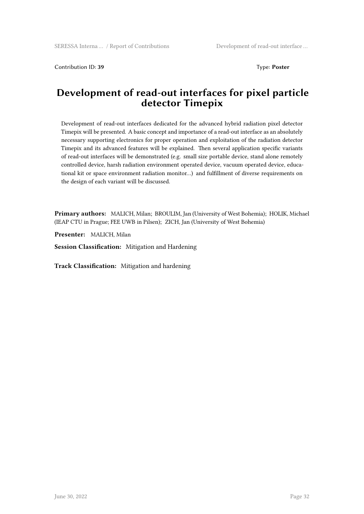Contribution ID: **39** Type: **Poster**

#### **Development of read-out interfaces for pixel particle detector Timepix**

Development of read-out interfaces dedicated for the advanced hybrid radiation pixel detector Timepix will be presented. A basic concept and importance of a read-out interface as an absolutely necessary supporting electronics for proper operation and exploitation of the radiation detector Timepix and its advanced features will be explained. Then several application specific variants of read-out interfaces will be demonstrated (e.g. small size portable device, stand alone remotely controlled device, harsh radiation environment operated device, vacuum operated device, educational kit or space environment radiation monitor…) and fulfillment of diverse requirements on the design of each variant will be discussed.

**Primary authors:** MALICH, Milan; BROULIM, Jan (University of West Bohemia); HOLIK, Michael (IEAP CTU in Prague; FEE UWB in Pilsen); ZICH, Jan (University of West Bohemia)

**Presenter:** MALICH, Milan

**Session Classification:** Mitigation and Hardening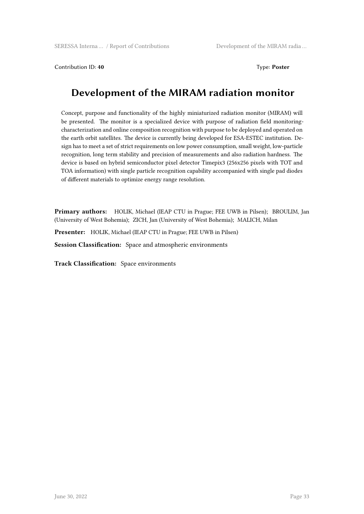Contribution ID: 40 **Type: Poster** Type: **Poster** 

#### **Development of the MIRAM radiation monitor**

Concept, purpose and functionality of the highly miniaturized radiation monitor (MIRAM) will be presented. The monitor is a specialized device with purpose of radiation field monitoringcharacterization and online composition recognition with purpose to be deployed and operated on the earth orbit satellites. The device is currently being developed for ESA-ESTEC institution. Design has to meet a set of strict requirements on low power consumption, small weight, low-particle recognition, long term stability and precision of measurements and also radiation hardness. The device is based on hybrid semiconductor pixel detector Timepix3 (256x256 pixels with TOT and TOA information) with single particle recognition capability accompanied with single pad diodes of different materials to optimize energy range resolution.

**Primary authors:** HOLIK, Michael (IEAP CTU in Prague; FEE UWB in Pilsen); BROULIM, Jan (University of West Bohemia); ZICH, Jan (University of West Bohemia); MALICH, Milan

**Presenter:** HOLIK, Michael (IEAP CTU in Prague; FEE UWB in Pilsen)

**Session Classification:** Space and atmospheric environments

**Track Classification:** Space environments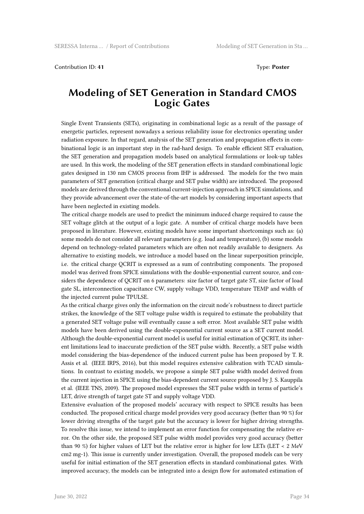#### Contribution ID: **41** Type: **Poster**

#### **Modeling of SET Generation in Standard CMOS Logic Gates**

Single Event Transients (SETs), originating in combinational logic as a result of the passage of energetic particles, represent nowadays a serious reliability issue for electronics operating under radiation exposure. In that regard, analysis of the SET generation and propagation effects in combinational logic is an important step in the rad-hard design. To enable efficient SET evaluation, the SET generation and propagation models based on analytical formulations or look-up tables are used. In this work, the modeling of the SET generation effects in standard combinational logic gates designed in 130 nm CMOS process from IHP is addressed. The models for the two main parameters of SET generation (critical charge and SET pulse width) are introduced. The proposed models are derived through the conventional current-injection approach in SPICE simulations, and they provide advancement over the state-of-the-art models by considering important aspects that have been neglected in existing models.

The critical charge models are used to predict the minimum induced charge required to cause the SET voltage glitch at the output of a logic gate. A number of critical charge models have been proposed in literature. However, existing models have some important shortcomings such as: (a) some models do not consider all relevant parameters (e.g. load and temperature), (b) some models depend on technology-related parameters which are often not readily available to designers. As alternative to existing models, we introduce a model based on the linear superposition principle, i.e. the critical charge QCRIT is expressed as a sum of contributing components. The proposed model was derived from SPICE simulations with the double-exponential current source, and considers the dependence of QCRIT on 6 parameters: size factor of target gate ST, size factor of load gate SL, interconnection capacitance CW, supply voltage VDD, temperature TEMP and width of the injected current pulse TPULSE.

As the critical charge gives only the information on the circuit node's robustness to direct particle strikes, the knowledge of the SET voltage pulse width is required to estimate the probability that a generated SET voltage pulse will eventually cause a soft error. Most available SET pulse width models have been derived using the double-exponential current source as a SET current model. Although the double-exponential current model is useful for initial estimation of QCRIT, its inherent limitations lead to inaccurate prediction of the SET pulse width. Recently, a SET pulse width model considering the bias-dependence of the induced current pulse has been proposed by T. R. Assis et al. (IEEE IRPS, 2016), but this model requires extensive calibration with TCAD simulations. In contrast to existing models, we propose a simple SET pulse width model derived from the current injection in SPICE using the bias-dependent current source proposed by J. S. Kauppila et al. (IEEE TNS, 2009). The proposed model expresses the SET pulse width in terms of particle's LET, drive strength of target gate ST and supply voltage VDD.

Extensive evaluation of the proposed models' accuracy with respect to SPICE results has been conducted. The proposed critical charge model provides very good accuracy (better than 90 %) for lower driving strengths of the target gate but the accuracy is lower for higher driving strengths. To resolve this issue, we intend to implement an error function for compensating the relative error. On the other side, the proposed SET pulse width model provides very good accuracy (better than 90 %) for higher values of LET but the relative error is higher for low LETs (LET < 2 MeV cm2 mg-1). This issue is currently under investigation. Overall, the proposed models can be very useful for initial estimation of the SET generation effects in standard combinational gates. With improved accuracy, the models can be integrated into a design flow for automated estimation of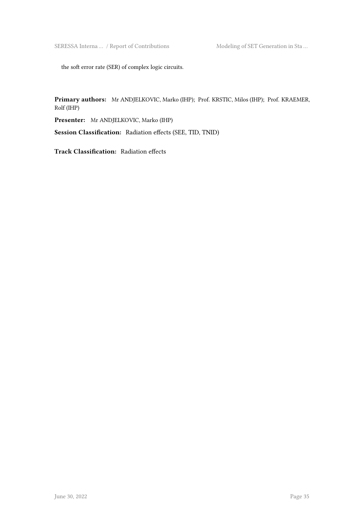SERESSA Interna ... / Report of Contributions Modeling of SET Generation in Sta ...

the soft error rate (SER) of complex logic circuits.

**Primary authors:** Mr ANDJELKOVIC, Marko (IHP); Prof. KRSTIC, Milos (IHP); Prof. KRAEMER, Rolf (IHP)

**Presenter:** Mr ANDJELKOVIC, Marko (IHP)

**Session Classification:** Radiation effects (SEE, TID, TNID)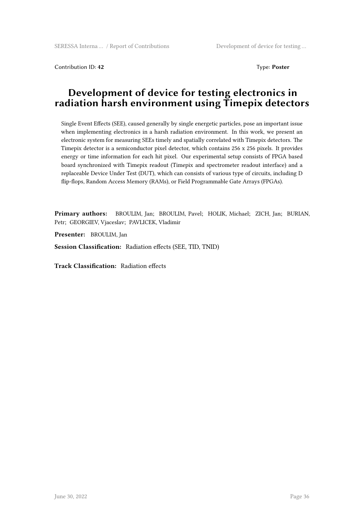Contribution ID: 42 Type: **Poster** 

#### **Development of device for testing electronics in radiation harsh environment using Timepix detectors**

Single Event Effects (SEE), caused generally by single energetic particles, pose an important issue when implementing electronics in a harsh radiation environment. In this work, we present an electronic system for measuring SEEs timely and spatially correlated with Timepix detectors. The Timepix detector is a semiconductor pixel detector, which contains 256 x 256 pixels. It provides energy or time information for each hit pixel. Our experimental setup consists of FPGA based board synchronized with Timepix readout (Timepix and spectrometer readout interface) and a replaceable Device Under Test (DUT), which can consists of various type of circuits, including D flip-flops, Random Access Memory (RAMs), or Field Programmable Gate Arrays (FPGAs).

**Primary authors:** BROULIM, Jan; BROULIM, Pavel; HOLIK, Michael; ZICH, Jan; BURIAN, Petr; GEORGIEV, Vjaceslav; PAVLICEK, Vladimir

**Presenter:** BROULIM, Jan

**Session Classification:** Radiation effects (SEE, TID, TNID)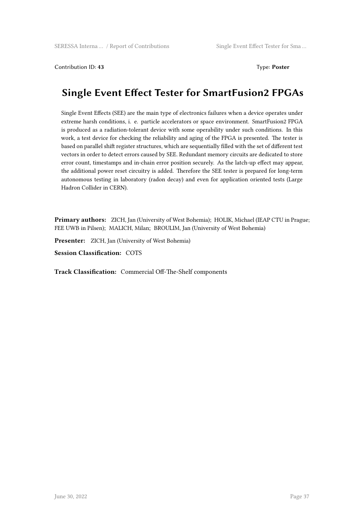Contribution ID: **43** Type: **Poster**

#### **Single Event Effect Tester for SmartFusion2 FPGAs**

Single Event Effects (SEE) are the main type of electronics failures when a device operates under extreme harsh conditions, i. e. particle accelerators or space environment. SmartFusion2 FPGA is produced as a radiation-tolerant device with some operability under such conditions. In this work, a test device for checking the reliability and aging of the FPGA is presented. The tester is based on parallel shift register structures, which are sequentially filled with the set of different test vectors in order to detect errors caused by SEE. Redundant memory circuits are dedicated to store error count, timestamps and in-chain error position securely. As the latch-up effect may appear, the additional power reset circuitry is added. Therefore the SEE tester is prepared for long-term autonomous testing in laboratory (radon decay) and even for application oriented tests (Large Hadron Collider in CERN).

**Primary authors:** ZICH, Jan (University of West Bohemia); HOLIK, Michael (IEAP CTU in Prague; FEE UWB in Pilsen); MALICH, Milan; BROULIM, Jan (University of West Bohemia)

**Presenter:** ZICH, Jan (University of West Bohemia)

**Session Classification:** COTS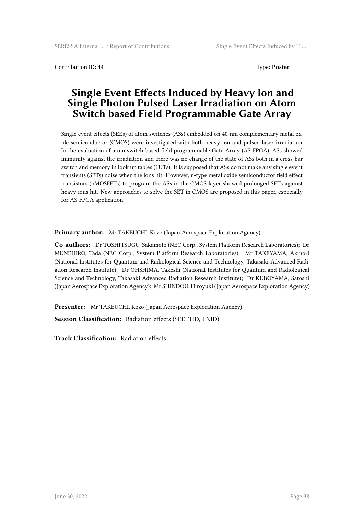Contribution ID: **44** Type: **Poster**

#### **Single Event Effects Induced by Heavy Ion and Single Photon Pulsed Laser Irradiation on Atom Switch based Field Programmable Gate Array**

Single event effects (SEEs) of atom switches (ASs) embedded on 40-nm complementary metal oxide semiconductor (CMOS) were investigated with both heavy ion and pulsed laser irradiation. In the evaluation of atom switch-based field programmable Gate Array (AS-FPGA), ASs showed immunity against the irradiation and there was no change of the state of ASs both in a cross-bar switch and memory in look up tables (LUTs). It is supposed that ASs do not make any single event transients (SETs) noise when the ions hit. However, n-type metal oxide semiconductor field effect transistors (nMOSFETs) to program the ASs in the CMOS layer showed prolonged SETs against heavy ions hit. New approaches to solve the SET in CMOS are proposed in this paper, especially for AS-FPGA application.

**Primary author:** Mr TAKEUCHI, Kozo (Japan Aerospace Exploration Agency)

**Co-authors:** Dr TOSHITSUGU, Sakamoto (NEC Corp., System Platform Research Laboratories); Dr MUNEHIRO, Tada (NEC Corp., System Platform Research Laboratories); Mr TAKEYAMA, Akinori (National Institutes for Quantum and Radiological Science and Technology, Takasaki Advanced Radiation Research Institute); Dr OHSHIMA, Takeshi (National Institutes for Quantum and Radiological Science and Technology, Takasaki Advanced Radiation Research Institute); Dr KUBOYAMA, Satoshi (Japan Aerospace Exploration Agency); Mr SHINDOU, Hiroyuki (Japan Aerospace Exploration Agency)

**Presenter:** Mr TAKEUCHI, Kozo (Japan Aerospace Exploration Agency)

**Session Classification:** Radiation effects (SEE, TID, TNID)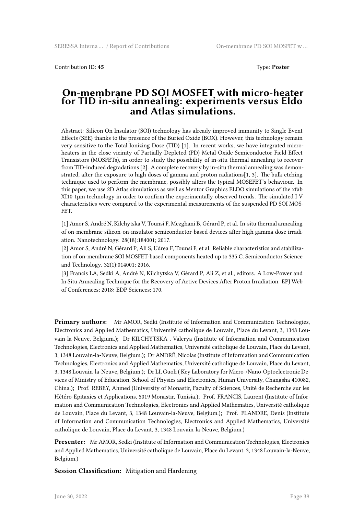Contribution ID: 45 Type: **Poster** 

#### **On-membrane PD SOI MOSFET with micro-heater for TID in-situ annealing: experiments versus Eldo and Atlas simulations.**

Abstract: Silicon On Insulator (SOI) technology has already improved immunity to Single Event Effects (SEE) thanks to the presence of the Buried Oxide (BOX). However, this technology remain very sensitive to the Total Ionizing Dose (TID) [1]. In recent works, we have integrated microheaters in the close vicinity of Partially-Depleted (PD) Metal-Oxide-Semiconductor Field-Effect Transistors (MOSFETs), in order to study the possibility of in-situ thermal annealing to recover from TID-induced degradations [2]. A complete recovery by in-situ thermal annealing was demonstrated, after the exposure to high doses of gamma and proton radiations[1, 3]. The bulk etching technique used to perform the membrane, possibly alters the typical MOSEFET's behaviour. In this paper, we use 2D Atlas simulations as well as Mentor Graphics ELDO simulations of the xfab XI10 1µm technology in order to confirm the experimentally observed trends. The simulated I-V characteristics were compared to the experimental measurements of the suspended PD SOI MOS-FET.

[1] Amor S, André N, Kilchytska V, Tounsi F, Mezghani B, Gérard P, et al. In-situ thermal annealing of on-membrane silicon-on-insulator semiconductor-based devices after high gamma dose irradiation. Nanotechnology. 28(18):184001; 2017.

[2] Amor S, André N, Gérard P, Ali S, Udrea F, Tounsi F, et al. Reliable characteristics and stabilization of on-membrane SOI MOSFET-based components heated up to 335 C. Semiconductor Science and Technology. 32(1):014001; 2016.

[3] Francis LA, Sedki A, André N, Kilchytska V, Gérard P, Ali Z, et al., editors. A Low-Power and In Situ Annealing Technique for the Recovery of Active Devices After Proton Irradiation. EPJ Web of Conferences; 2018: EDP Sciences; 170.

**Primary authors:** Mr AMOR, Sedki (Institute of Information and Communication Technologies, Electronics and Applied Mathematics, Université catholique de Louvain, Place du Levant, 3, 1348 Louvain-la-Neuve, Belgium.); Dr KILCHYTSKA , Valerya (Institute of Information and Communication Technologies, Electronics and Applied Mathematics, Université catholique de Louvain, Place du Levant, 3, 1348 Louvain-la-Neuve, Belgium.); Dr ANDRÉ, Nicolas (Institute of Information and Communication Technologies, Electronics and Applied Mathematics, Université catholique de Louvain, Place du Levant, 3, 1348 Louvain-la-Neuve, Belgium.); Dr LI, Guoli ( Key Laboratory for Micro-/Nano-Optoelectronic Devices of Ministry of Education, School of Physics and Electronics, Hunan University, Changsha 410082, China.); Prof. REBEY, Ahmed (University of Monastir, Faculty of Sciences, Unité de Recherche sur les Hétéro-Epitaxies et Applications, 5019 Monastir, Tunisia.); Prof. FRANCIS, Laurent (Institute of Information and Communication Technologies, Electronics and Applied Mathematics, Université catholique de Louvain, Place du Levant, 3, 1348 Louvain-la-Neuve, Belgium.); Prof. FLANDRE, Denis (Institute of Information and Communication Technologies, Electronics and Applied Mathematics, Université catholique de Louvain, Place du Levant, 3, 1348 Louvain-la-Neuve, Belgium.)

**Presenter:** Mr AMOR, Sedki (Institute of Information and Communication Technologies, Electronics and Applied Mathematics, Université catholique de Louvain, Place du Levant, 3, 1348 Louvain-la-Neuve, Belgium.)

**Session Classification:** Mitigation and Hardening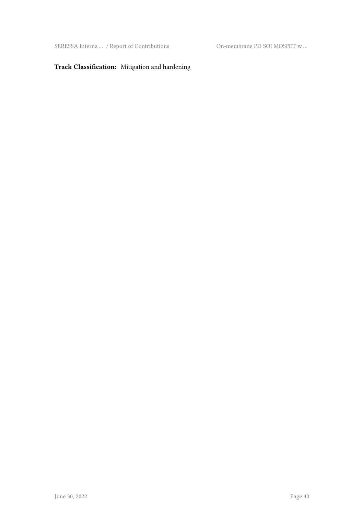SERESSA Interna … / Report of Contributions On-membrane PD SOI MOSFET w …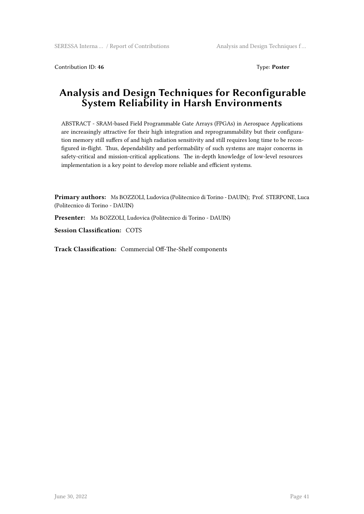Contribution ID: 46 Type: **Poster** 

#### **Analysis and Design Techniques for Reconfigurable System Reliability in Harsh Environments**

ABSTRACT - SRAM-based Field Programmable Gate Arrays (FPGAs) in Aerospace Applications are increasingly attractive for their high integration and reprogrammability but their configuration memory still suffers of and high radiation sensitivity and still requires long time to be reconfigured in-flight. Thus, dependability and performability of such systems are major concerns in safety-critical and mission-critical applications. The in-depth knowledge of low-level resources implementation is a key point to develop more reliable and efficient systems.

**Primary authors:** Ms BOZZOLI, Ludovica (Politecnico di Torino - DAUIN); Prof. STERPONE, Luca (Politecnico di Torino - DAUIN)

**Presenter:** Ms BOZZOLI, Ludovica (Politecnico di Torino - DAUIN)

**Session Classification:** COTS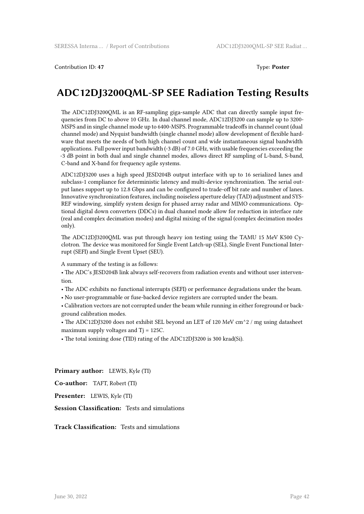Contribution ID: **47** Type: **Poster**

#### **ADC12DJ3200QML-SP SEE Radiation Testing Results**

The ADC12DJ3200QML is an RF-sampling giga-sample ADC that can directly sample input frequencies from DC to above 10 GHz. In dual channel mode, ADC12DJ3200 can sample up to 3200- MSPS and in single channel mode up to 6400-MSPS. Programmable tradeoffs in channel count (dual channel mode) and Nyquist bandwidth (single channel mode) allow development of flexible hardware that meets the needs of both high channel count and wide instantaneous signal bandwidth applications. Full power input bandwidth (-3 dB) of 7.0 GHz, with usable frequencies exceeding the -3 dB point in both dual and single channel modes, allows direct RF sampling of L-band, S-band, C-band and X-band for frequency agile systems.

ADC12DJ3200 uses a high speed JESD204B output interface with up to 16 serialized lanes and subclass-1 compliance for deterministic latency and multi-device synchronization. The serial output lanes support up to 12.8 Gbps and can be configured to trade-off bit rate and number of lanes. Innovative synchronization features, including noiseless aperture delay (TAD) adjustment and SYS-REF windowing, simplify system design for phased array radar and MIMO communications. Optional digital down converters (DDCs) in dual channel mode allow for reduction in interface rate (real and complex decimation modes) and digital mixing of the signal (complex decimation modes only).

The ADC12DJ3200QML was put through heavy ion testing using the TAMU 15 MeV K500 Cyclotron. The device was monitored for Single Event Latch-up (SEL), Single Event Functional Interrupt (SEFI) and Single Event Upset (SEU).

A summary of the testing is as follows:

• The ADC's JESD204B link always self-recovers from radiation events and without user intervention.

• The ADC exhibits no functional interrupts (SEFI) or performance degradations under the beam.

• No user-programmable or fuse-backed device registers are corrupted under the beam.

• Calibration vectors are not corrupted under the beam while running in either foreground or background calibration modes.

• The ADC12DJ3200 does not exhibit SEL beyond an LET of 120 MeV cm<sup>^2</sup> / mg using datasheet maximum supply voltages and Tj = 125C.

• The total ionizing dose (TID) rating of the ADC12DJ3200 is 300 krad(Si).

**Primary author:** LEWIS, Kyle (TI)

**Co-author:** TAFT, Robert (TI)

**Presenter:** LEWIS, Kyle (TI)

**Session Classification:** Tests and simulations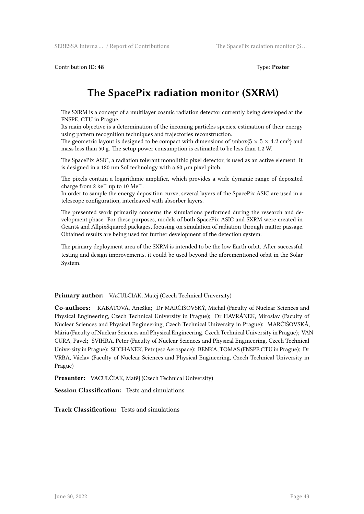Contribution ID: 48 Type: **Poster** 

#### **The SpacePix radiation monitor (SXRM)**

The SXRM is a concept of a multilayer cosmic radiation detector currently being developed at the FNSPE, CTU in Prague.

Its main objective is a determination of the incoming particles species, estimation of their energy using pattern recognition techniques and trajectories reconstruction.

The geometric layout is designed to be compact with dimensions of  $\mbox{15}\times5\times4.2~\mbox{cm}^3$  and mass less than 50 g. The setup power consumption is estimated to be less than 1.2 W.

The SpacePix ASIC, a radiation tolerant monolithic pixel detector, is used as an active element. It is designed in a 180 nm SoI technology with a 60 *µ*m pixel pitch.

The pixels contain a logarithmic amplifier, which provides a wide dynamic range of deposited charge from 2 ke*<sup>−</sup>* up to 10 Me*−*.

In order to sample the energy deposition curve, several layers of the SpacePix ASIC are used in a telescope configuration, interleaved with absorber layers.

The presented work primarily concerns the simulations performed during the research and development phase. For these purposes, models of both SpacePix ASIC and SXRM were created in Geant4 and AllpixSquared packages, focusing on simulation of radiation-through-matter passage. Obtained results are being used for further development of the detection system.

The primary deployment area of the SXRM is intended to be the low Earth orbit. After successful testing and design improvements, it could be used beyond the aforementioned orbit in the Solar System.

**Primary author:** VACULČIAK, Matěj (Czech Technical University)

**Co-authors:** KABÁTOVÁ, Anežka; Dr MARČIŠOVSKÝ, Michal (Faculty of Nuclear Sciences and Physical Engineering, Czech Technical University in Prague); Dr HAVRÁNEK, Miroslav (Faculty of Nuclear Sciences and Physical Engineering, Czech Technical University in Prague); MARČIŠOVSKÁ, Mária (Faculty of Nuclear Sciences and Physical Engineering, Czech Technical University in Prague); VAN-CURA, Pavel; ŠVIHRA, Peter (Faculty of Nuclear Sciences and Physical Engineering, Czech Technical University in Prague); SUCHANEK, Petr (esc Aerospace); BENKA, TOMAS (FNSPE CTU in Prague); Dr VRBA, Václav (Faculty of Nuclear Sciences and Physical Engineering, Czech Technical University in Prague)

**Presenter:** VACULČIAK, Matěj (Czech Technical University)

**Session Classification:** Tests and simulations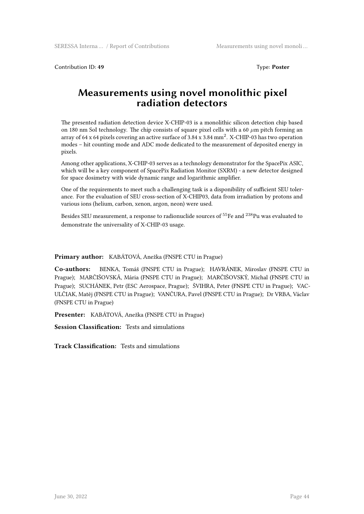Contribution ID: 49 Type: **Poster** 

#### **Measurements using novel monolithic pixel radiation detectors**

The presented radiation detection device X-CHIP-03 is a monolithic silicon detection chip based on 180 nm SoI technology. The chip consists of square pixel cells with a 60 *µ*m pitch forming an array of 64 x 64 pixels covering an active surface of 3.84 x 3.84 mm<sup>2</sup>. X-CHIP-03 has two operation modes – hit counting mode and ADC mode dedicated to the measurement of deposited energy in pixels.

Among other applications, X-CHIP-03 serves as a technology demonstrator for the SpacePix ASIC, which will be a key component of SpacePix Radiation Monitor (SXRM) - a new detector designed for space dosimetry with wide dynamic range and logarithmic amplifier.

One of the requirements to meet such a challenging task is a disponibility of sufficient SEU tolerance. For the evaluation of SEU cross-section of X-CHIP03, data from irradiation by protons and various ions (helium, carbon, xenon, argon, neon) were used.

Besides SEU measurement, a response to radionuclide sources of <sup>55</sup>Fe and <sup>238</sup>Pu was evaluated to demonstrate the universality of X-CHIP-03 usage.

#### **Primary author:** KABÁTOVÁ, Anežka (FNSPE CTU in Prague)

**Co-authors:** BENKA, Tomáš (FNSPE CTU in Prague); HAVRÁNEK, Miroslav (FNSPE CTU in Prague); MARČIŠOVSKÁ, Mária (FNSPE CTU in Prague); MARČIŠOVSKÝ, Michal (FNSPE CTU in Prague); SUCHÁNEK, Petr (ESC Aerospace, Prague); ŠVIHRA, Peter (FNSPE CTU in Prague); VAC-ULČIAK, Matěj (FNSPE CTU in Prague); VANČURA, Pavel (FNSPE CTU in Prague); Dr VRBA, Václav (FNSPE CTU in Prague)

**Presenter:** KABÁTOVÁ, Anežka (FNSPE CTU in Prague)

**Session Classification:** Tests and simulations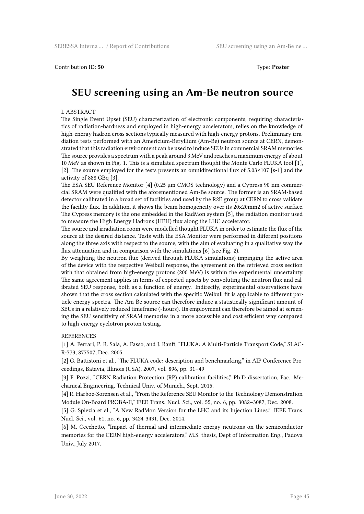#### Contribution ID: 50 Type: **Poster**

#### **SEU screening using an Am-Be neutron source**

#### I. ABSTRACT

The Single Event Upset (SEU) characterization of electronic components, requiring characteristics of radiation-hardness and employed in high-energy accelerators, relies on the knowledge of high-energy hadron cross sections typically measured with high-energy protons. Preliminary irradiation tests performed with an Americium-Beryllium (Am-Be) neutron source at CERN, demonstrated that this radiation environment can be used to induce SEUs in commercial SRAM memories. The source provides a spectrum with a peak around 3 MeV and reaches a maximum energy of about 10 MeV as shown in Fig. 1. This is a simulated spectrum thought the Monte Carlo FLUKA tool [1], [2]. The source employed for the tests presents an omnidirectional flux of 5.03×107 [s-1] and the activity of 888 GBq [3].

The ESA SEU Reference Monitor [4] (0.25  $\mu$ m CMOS technology) and a Cypress 90 nm commercial SRAM were qualified with the aforementioned Am-Be source. The former is an SRAM-based detector calibrated in a broad set of facilities and used by the R2E group at CERN to cross validate the facility flux. In addition, it shows the beam homogeneity over its 20x20mm2 of active surface. The Cypress memory is the one embedded in the RadMon system [5], the radiation monitor used to measure the High Energy Hadrons (HEH) flux along the LHC accelerator.

The source and irradiation room were modelled thought FLUKA in order to estimate the flux of the source at the desired distance. Tests with the ESA Monitor were performed in different positions along the three axis with respect to the source, with the aim of evaluating in a qualitative way the flux attenuation and in comparison with the simulations [6] (see Fig. 2).

By weighting the neutron flux (derived through FLUKA simulations) impinging the active area of the device with the respective Weibull response, the agreement on the retrieved cross section with that obtained from high-energy protons (200 MeV) is within the experimental uncertainty. The same agreement applies in terms of expected upsets by convoluting the neutron flux and calibrated SEU response, both as a function of energy. Indirectly, experimental observations have shown that the cross section calculated with the specific Weibull fit is applicable to different particle energy spectra. The Am-Be source can therefore induce a statistically significant amount of SEUs in a relatively reduced timeframe (~hours). Its employment can therefore be aimed at screening the SEU sensitivity of SRAM memories in a more accessible and cost efficient way compared to high-energy cyclotron proton testing.

#### **REFERENCES**

[1] A. Ferrari, P. R. Sala, A. Fasso, and J. Ranft, "FLUKA: A Multi-Particle Transport Code," SLAC-R-773, 877507, Dec. 2005.

[2] G. Battistoni et al., "The FLUKA code: description and benchmarking," in AIP Conference Proceedings, Batavia, Illinois (USA), 2007, vol. 896, pp. 31–49

[3] F. Pozzi, "CERN Radiation Protection (RP) calibration facilities," Ph.D dissertation, Fac. Mechanical Engineering, Technical Univ. of Munich., Sept. 2015.

[4] R. Harboe-Sorensen et al., "From the Reference SEU Monitor to the Technology Demonstration Module On-Board PROBA-II," IEEE Trans. Nucl. Sci., vol. 55, no. 6, pp. 3082–3087, Dec. 2008.

[5] G. Spiezia et al., "A New RadMon Version for the LHC and its Injection Lines." IEEE Trans. Nucl. Sci., vol. 61, no. 6, pp. 3424-3431, Dec. 2014.

[6] M. Cecchetto, "Impact of thermal and intermediate energy neutrons on the semiconductor memories for the CERN high-energy accelerators," M.S. thesis, Dept of Information Eng., Padova Univ., July 2017.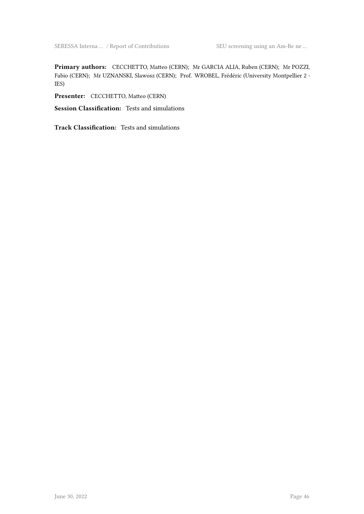**Primary authors:** CECCHETTO, Matteo (CERN); Mr GARCIA ALIA, Ruben (CERN); Mr POZZI, Fabio (CERN); Mr UZNANSKI, Slawosz (CERN); Prof. WROBEL, Frédéric (University Montpellier 2 - IES)

**Presenter:** CECCHETTO, Matteo (CERN)

**Session Classification:** Tests and simulations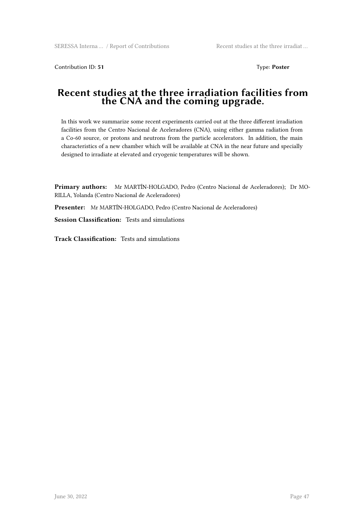Contribution ID: **51** Type: **Poster**

#### **Recent studies at the three irradiation facilities from the CNA and the coming upgrade.**

In this work we summarize some recent experiments carried out at the three different irradiation facilities from the Centro Nacional de Aceleradores (CNA), using either gamma radiation from a Co-60 source, or protons and neutrons from the particle accelerators. In addition, the main characteristics of a new chamber which will be available at CNA in the near future and specially designed to irradiate at elevated and cryogenic temperatures will be shown.

**Primary authors:** Mr MARTÍN-HOLGADO, Pedro (Centro Nacional de Aceleradores); Dr MO-RILLA, Yolanda (Centro Nacional de Aceleradores)

**Presenter:** Mr MARTÍN-HOLGADO, Pedro (Centro Nacional de Aceleradores)

**Session Classification:** Tests and simulations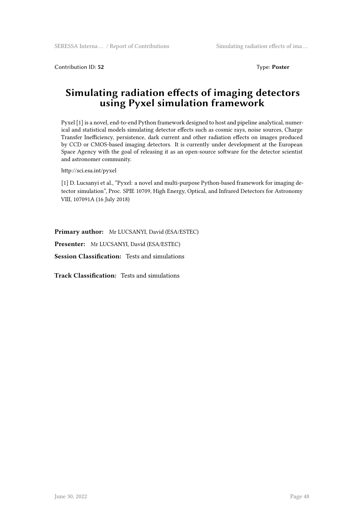Contribution ID: **52** Type: **Poster**

#### **Simulating radiation effects of imaging detectors using Pyxel simulation framework**

Pyxel [1] is a novel, end-to-end Python framework designed to host and pipeline analytical, numerical and statistical models simulating detector effects such as cosmic rays, noise sources, Charge Transfer Inefficiency, persistence, dark current and other radiation effects on images produced by CCD or CMOS-based imaging detectors. It is currently under development at the European Space Agency with the goal of releasing it as an open-source software for the detector scientist and astronomer community.

http://sci.esa.int/pyxel

[1] D. Lucsanyi et al., "Pyxel: a novel and multi-purpose Python-based framework for imaging detector simulation", Proc. SPIE 10709, High Energy, Optical, and Infrared Detectors for Astronomy VIII, 107091A (16 July 2018)

**Primary author:** Mr LUCSANYI, David (ESA/ESTEC)

**Presenter:** Mr LUCSANYI, David (ESA/ESTEC)

**Session Classification:** Tests and simulations